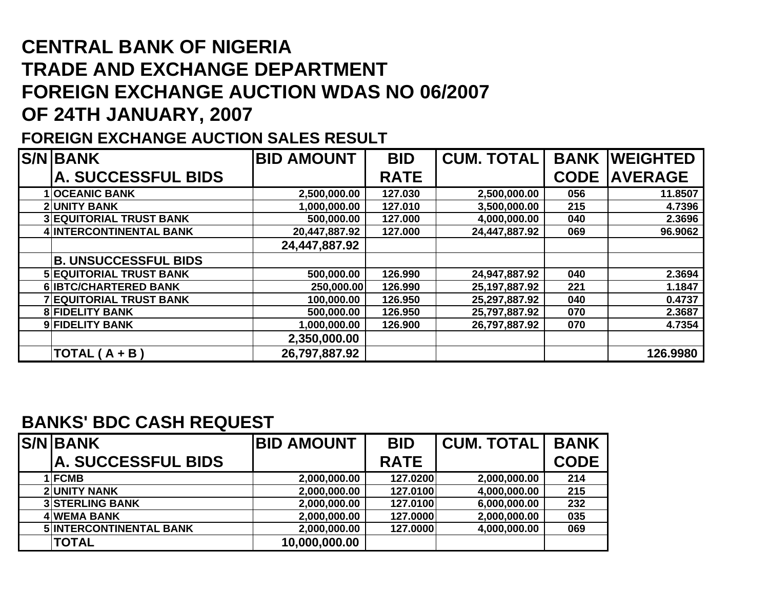## **CENTRAL BANK OF NIGERIA TRADE AND EXCHANGE DEPARTMENT FOREIGN EXCHANGE AUCTION WDAS NO 06/2007 OF 24TH JANUARY, 2007**

## **FOREIGN EXCHANGE AUCTION SALES RESULT**

| <b>S/N BANK</b>                | <b>BID AMOUNT</b> | <b>BID</b>  | <b>CUM. TOTAL</b> | <b>BANK</b> | <b>IWEIGHTED</b> |
|--------------------------------|-------------------|-------------|-------------------|-------------|------------------|
| A. SUCCESSFUL BIDS             |                   | <b>RATE</b> |                   | <b>CODE</b> | <b>AVERAGE</b>   |
| <b>1 OCEANIC BANK</b>          | 2,500,000.00      | 127.030     | 2,500,000.00      | 056         | 11.8507          |
| <b>2 UNITY BANK</b>            | 1,000,000.00      | 127.010     | 3,500,000.00      | 215         | 4.7396           |
| <b>3 EQUITORIAL TRUST BANK</b> | 500,000.00        | 127.000     | 4,000,000.00      | 040         | 2.3696           |
| 4 INTERCONTINENTAL BANK        | 20,447,887.92     | 127.000     | 24,447,887.92     | 069         | 96.9062          |
|                                | 24,447,887.92     |             |                   |             |                  |
| <b>B. UNSUCCESSFUL BIDS</b>    |                   |             |                   |             |                  |
| <b>5 EQUITORIAL TRUST BANK</b> | 500,000.00        | 126.990     | 24,947,887.92     | 040         | 2.3694           |
| 6 <b>IBTC/CHARTERED BANK</b>   | 250,000.00        | 126.990     | 25, 197, 887. 92  | 221         | 1.1847           |
| <b>7 EQUITORIAL TRUST BANK</b> | 100,000.00        | 126.950     | 25,297,887.92     | 040         | 0.4737           |
| <b>8 FIDELITY BANK</b>         | 500,000.00        | 126.950     | 25,797,887.92     | 070         | 2.3687           |
| 9 FIDELITY BANK                | 1,000,000.00      | 126.900     | 26,797,887.92     | 070         | 4.7354           |
|                                | 2,350,000.00      |             |                   |             |                  |
| $TOTAL(A + B)$                 | 26,797,887.92     |             |                   |             | 126.9980         |

## **BANKS' BDC CASH REQUEST**

| <b>S/N BANK</b>                | <b>BID AMOUNT</b> | <b>BID</b>  | <b>CUM. TOTAL  </b> | <b>BANK</b> |
|--------------------------------|-------------------|-------------|---------------------|-------------|
| A. SUCCESSFUL BIDS             |                   | <b>RATE</b> |                     | <b>CODE</b> |
| 1 FCMB                         | 2,000,000.00      | 127.0200    | 2,000,000.00        | 214         |
| <b>2 UNITY NANK</b>            | 2,000,000.00      | 127.0100    | 4,000,000.00        | 215         |
| <b>3 STERLING BANK</b>         | 2,000,000.00      | 127.0100    | 6,000,000.00        | 232         |
| <b>4 WEMA BANK</b>             | 2,000,000.00      | 127.0000    | 2,000,000.00        | 035         |
| <b>5 INTERCONTINENTAL BANK</b> | 2,000,000.00      | 127.0000    | 4,000,000.00        | 069         |
| <b>TOTAL</b>                   | 10,000,000.00     |             |                     |             |